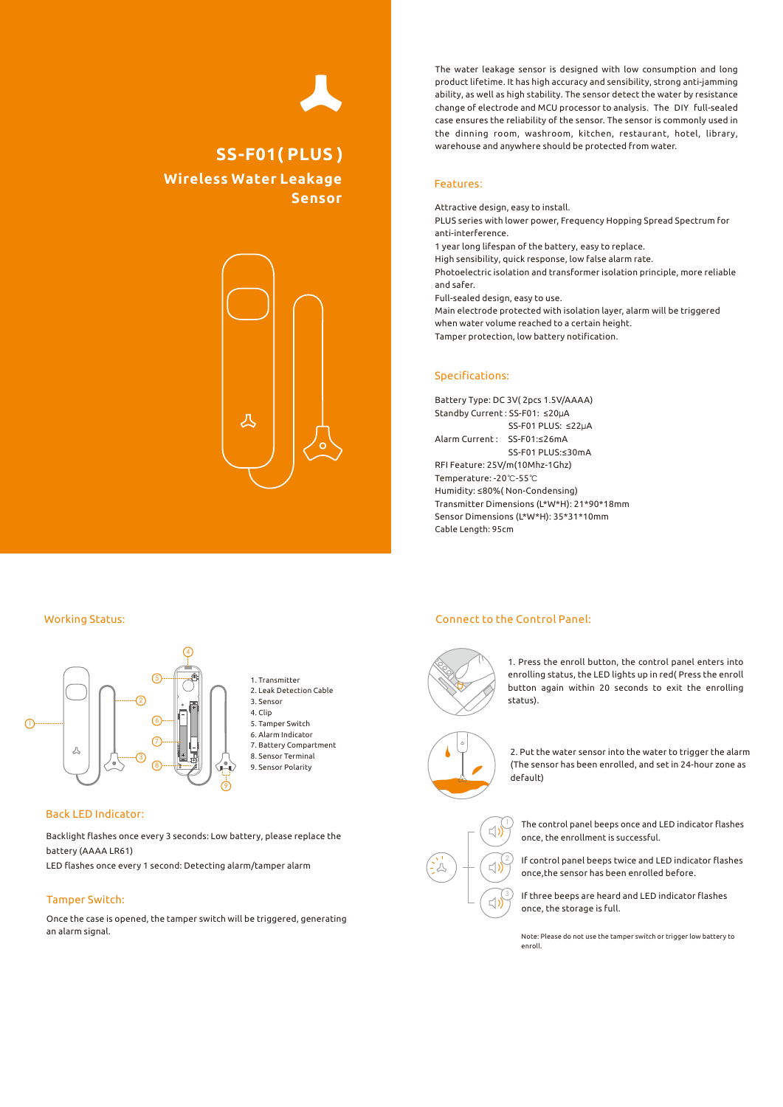# **Wireless Water Leakage Sensor SS-F01( PLUS )**



The water leakage sensor is designed with low consumption and long product lifetime. It has high accuracy and sensibility, strong anti-jamming ability, as well as high stability. The sensor detect the water by resistance change of electrode and MCU processor to analysis. The DIY full-sealed case ensures the reliability of the sensor. The sensor is commonly used in the dinning room, washroom, kitchen, restaurant, hotel, library, warehouse and anywhere should be protected from water.

## Features:

Attractive design, easy to install. PLUS series with lower power, Frequency Hopping Spread Spectrum for anti-interference. 1 year long lifespan of the battery, easy to replace. High sensibility, quick response, low false alarm rate. Photoelectric isolation and transformer isolation principle, more reliable and safer. Full-sealed design, easy to use. Main electrode protected with isolation layer, alarm will be triggered when water volume reached to a certain height. Tamper protection, low battery notification.

## Specifications:

Battery Type: DC 3V( 2pcs 1.5V/AAAA) Standby Current : SS-F01: ≤20μA SS-F01 PLUS: ≤22µA Alarm Current : SS-F01:≤26mA SS-F01 PLUS:<30mA RFI Feature: 25V/m(10Mhz-1Ghz) Temperature: -20℃-55℃ Humidity: ≤80%( Non-Condensing) Transmitter Dimensions (L\*W\*H): 21\*90\*18mm Sensor Dimensions (L\*W\*H): 35\*31\*10mm Cable Length: 95cm

#### Working Status:



#### Back LED Indicator:

Backlight flashes once every 3 seconds: Low battery, please replace the battery (AAAA LR61)

LED flashes once every 1 second: Detecting alarm/tamper alarm

## Tamper Switch:

Once the case is opened, the tamper switch will be triggered, generating an alarm signal.

#### Connect to the Control Panel:

3

 $\Box$ 

 $\Box$ 



1. Press the enroll button, the control panel enters into enrolling status, the LED lights up in red( Press the enroll button again within 20 seconds to exit the enrolling status).



2. Put the water sensor into the water to trigger the alarm (The sensor has been enrolled, and set in 24-hour zone as default)

The control panel beeps once and LED indicator flashes once, the enrollment is successful.

If control panel beeps twice and LED indicator flashes once,the sensor has been enrolled before.

If three beeps are heard and LED indicator flashes once, the storage is full.

Note: Please do not use the tamper switch or trigger low battery to enroll.